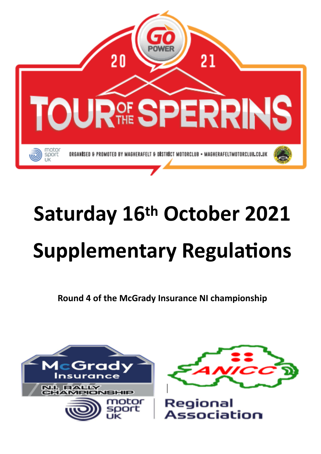

# **Saturday 16th October 2021 Supplementary Regulations**

**Round 4 of the McGrady Insurance NI championship**





Regional Association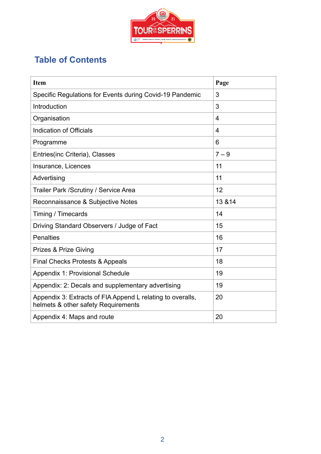

# **Table of Contents**

| <b>Item</b>                                                                                       | Page           |
|---------------------------------------------------------------------------------------------------|----------------|
| Specific Regulations for Events during Covid-19 Pandemic                                          | 3              |
| Introduction                                                                                      | 3              |
| Organisation                                                                                      | 4              |
| Indication of Officials                                                                           | $\overline{4}$ |
| Programme                                                                                         | 6              |
| Entries (inc Criteria), Classes                                                                   | $7 - 9$        |
| Insurance, Licences                                                                               | 11             |
| Advertising                                                                                       | 11             |
| Trailer Park / Scrutiny / Service Area                                                            | 12             |
| Reconnaissance & Subjective Notes                                                                 | 13 & 14        |
| Timing / Timecards                                                                                | 14             |
| Driving Standard Observers / Judge of Fact                                                        | 15             |
| <b>Penalties</b>                                                                                  | 16             |
| <b>Prizes &amp; Prize Giving</b>                                                                  | 17             |
| <b>Final Checks Protests &amp; Appeals</b>                                                        | 18             |
| Appendix 1: Provisional Schedule                                                                  | 19             |
| Appendix: 2: Decals and supplementary advertising                                                 | 19             |
| Appendix 3: Extracts of FIA Append L relating to overalls,<br>helmets & other safety Requirements | 20             |
| Appendix 4: Maps and route                                                                        | 20             |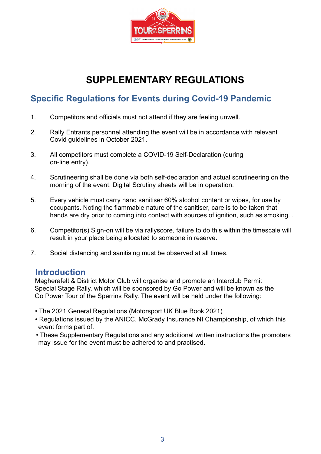

# **SUPPLEMENTARY REGULATIONS**

# **Specific Regulations for Events during Covid-19 Pandemic**

- 1. Competitors and officials must not attend if they are feeling unwell.
- 2. Rally Entrants personnel attending the event will be in accordance with relevant Covid guidelines in October 2021.
- 3. All competitors must complete a COVID-19 Self-Declaration (during on-line entry).
- 4. Scrutineering shall be done via both self-declaration and actual scrutineering on the morning of the event. Digital Scrutiny sheets will be in operation.
- 5. Every vehicle must carry hand sanitiser 60% alcohol content or wipes, for use by occupants. Noting the flammable nature of the sanitiser, care is to be taken that hands are dry prior to coming into contact with sources of ignition, such as smoking..
- 6. Competitor(s) Sign-on will be via rallyscore, failure to do this within the timescale will result in your place being allocated to someone in reserve.
- 7. Social distancing and sanitising must be observed at all times.

## **Introduction**

Magherafelt & District Motor Club will organise and promote an Interclub Permit Special Stage Rally, which will be sponsored by Go Power and will be known as the Go Power Tour of the Sperrins Rally. The event will be held under the following:

- The 2021 General Regulations (Motorsport UK Blue Book 2021)
- Regulations issued by the ANICC, McGrady Insurance NI Championship, of which this event forms part of.
- These Supplementary Regulations and any additional written instructions the promoters may issue for the event must be adhered to and practised.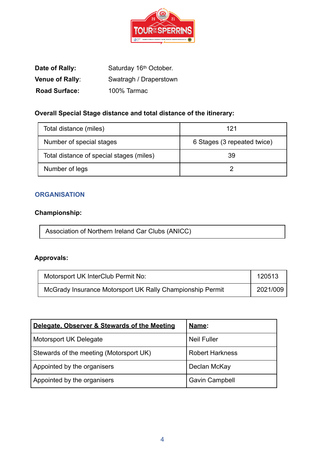

| Date of Rally:       | Saturday 16th October. |
|----------------------|------------------------|
| Venue of Rally:      | Swatragh / Draperstown |
| <b>Road Surface:</b> | 100% Tarmac            |

# **Overall Special Stage distance and total distance of the itinerary:**

| Total distance (miles)                   | 121                         |
|------------------------------------------|-----------------------------|
| Number of special stages                 | 6 Stages (3 repeated twice) |
| Total distance of special stages (miles) | 39                          |
| Number of legs                           |                             |

## **ORGANISATION**

# **Championship:**

| Association of Northern Ireland Car Clubs (ANICC) |  |
|---------------------------------------------------|--|
|---------------------------------------------------|--|

# **Approvals:**

| Motorsport UK InterClub Permit No:                        | 120513   |
|-----------------------------------------------------------|----------|
| McGrady Insurance Motorsport UK Rally Championship Permit | 2021/009 |

| Delegate, Observer & Stewards of the Meeting | Name:                  |
|----------------------------------------------|------------------------|
| Motorsport UK Delegate                       | <b>Neil Fuller</b>     |
| Stewards of the meeting (Motorsport UK)      | <b>Robert Harkness</b> |
| Appointed by the organisers                  | Declan McKay           |
| Appointed by the organisers                  | <b>Gavin Campbell</b>  |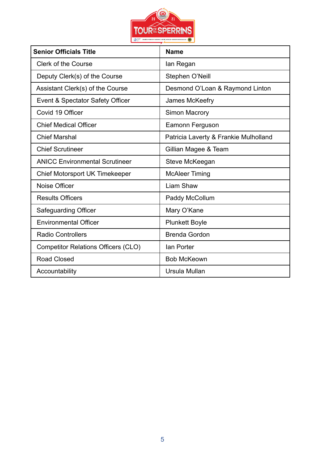

| <b>Senior Officials Title</b>              | <b>Name</b>                           |
|--------------------------------------------|---------------------------------------|
| <b>Clerk of the Course</b>                 | lan Regan                             |
| Deputy Clerk(s) of the Course              | Stephen O'Neill                       |
| Assistant Clerk(s) of the Course           | Desmond O'Loan & Raymond Linton       |
| Event & Spectator Safety Officer           | James McKeefry                        |
| Covid 19 Officer                           | <b>Simon Macrory</b>                  |
| <b>Chief Medical Officer</b>               | Eamonn Ferguson                       |
| <b>Chief Marshal</b>                       | Patricia Laverty & Frankie Mulholland |
| <b>Chief Scrutineer</b>                    | Gillian Magee & Team                  |
| <b>ANICC Environmental Scrutineer</b>      | Steve McKeegan                        |
| <b>Chief Motorsport UK Timekeeper</b>      | <b>McAleer Timing</b>                 |
| Noise Officer                              | Liam Shaw                             |
| <b>Results Officers</b>                    | Paddy McCollum                        |
| <b>Safeguarding Officer</b>                | Mary O'Kane                           |
| <b>Environmental Officer</b>               | <b>Plunkett Boyle</b>                 |
| <b>Radio Controllers</b>                   | <b>Brenda Gordon</b>                  |
| <b>Competitor Relations Officers (CLO)</b> | lan Porter                            |
| <b>Road Closed</b>                         | <b>Bob McKeown</b>                    |
| Accountability                             | Ursula Mullan                         |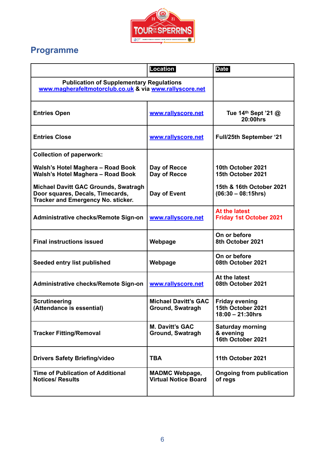

# **Programme**

|                                                                                                                       | <b>Location</b>                                      | <b>Date</b>                                                       |
|-----------------------------------------------------------------------------------------------------------------------|------------------------------------------------------|-------------------------------------------------------------------|
| <b>Publication of Supplementary Regulations</b><br>www.magherafeltmotorclub.co.uk & via www.rallyscore.net            |                                                      |                                                                   |
| <b>Entries Open</b>                                                                                                   | www.rallyscore.net                                   | Tue 14th Sept '21 @<br>20:00hrs                                   |
| <b>Entries Close</b>                                                                                                  | www.rallyscore.net                                   | <b>Full/25th September '21</b>                                    |
| <b>Collection of paperwork:</b>                                                                                       |                                                      |                                                                   |
| Walsh's Hotel Maghera - Road Book<br>Walsh's Hotel Maghera - Road Book                                                | Day of Recce<br>Day of Recce                         | 10th October 2021<br>15th October 2021                            |
| <b>Michael Davitt GAC Grounds, Swatragh</b><br>Door squares, Decals, Timecards,<br>Tracker and Emergency No. sticker. | Day of Event                                         | 15th & 16th October 2021<br>$(06:30 - 08:15)$                     |
| Administrative checks/Remote Sign-on                                                                                  | www.rallyscore.net                                   | At the latest<br><b>Friday 1st October 2021</b>                   |
| <b>Final instructions issued</b>                                                                                      | Webpage                                              | On or before<br>8th October 2021                                  |
| Seeded entry list published                                                                                           | Webpage                                              | On or before<br>08th October 2021                                 |
| Administrative checks/Remote Sign-on                                                                                  | www.rallyscore.net                                   | At the latest<br>08th October 2021                                |
| <b>Scrutineering</b><br>(Attendance is essential)                                                                     | <b>Michael Davitt's GAC</b><br>Ground, Swatragh      | <b>Friday evening</b><br>15th October 2021<br>$18:00 - 21:30$ hrs |
| <b>Tracker Fitting/Removal</b>                                                                                        | <b>M. Davitt's GAC</b><br><b>Ground, Swatragh</b>    | <b>Saturday morning</b><br>& evening<br>16th October 2021         |
| <b>Drivers Safety Briefing/video</b>                                                                                  | <b>TBA</b>                                           | 11th October 2021                                                 |
| <b>Time of Publication of Additional</b><br><b>Notices/ Results</b>                                                   | <b>MADMC Webpage,</b><br><b>Virtual Notice Board</b> | <b>Ongoing from publication</b><br>of regs                        |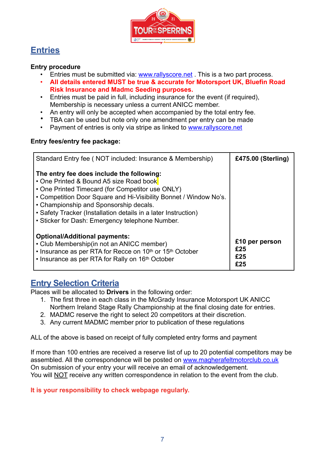

# **Entries**

## **Entry procedure**

- Entries must be submitted via: www.rallyscore.net. This is a two part process.
- **All details entered MUST be true & accurate for Motorsport UK, Bluefin Road Risk Insurance and Madmc Seeding purposes.**
- Entries must be paid in full, including insurance for the event (if required), Membership is necessary unless a current ANICC member.
- An entry will only be accepted when accompanied by the total entry fee.
- TBA can be used but note only one amendment per entry can be made
- Payment of entries is only via stripe as linked to [www.rallyscore.net](http://www.rallyscore.net)

## **Entry fees/entry fee package:**

| Standard Entry fee (NOT included: Insurance & Membership)                                                                                                                                                                                                                                                                                                                    | £475.00 (Sterling)                  |
|------------------------------------------------------------------------------------------------------------------------------------------------------------------------------------------------------------------------------------------------------------------------------------------------------------------------------------------------------------------------------|-------------------------------------|
| The entry fee does include the following:<br>• One Printed & Bound A5 size Road book<br>• One Printed Timecard (for Competitor use ONLY)<br>• Competition Door Square and Hi-Visibility Bonnet / Window No's.<br>• Championship and Sponsorship decals.<br>• Safety Tracker (Installation details in a later Instruction)<br>• Sticker for Dash: Emergency telephone Number. |                                     |
| <b>Optional/Additional payments:</b><br>• Club Membership(in not an ANICC member)<br>• Insurance as per RTA for Recce on 10 <sup>th</sup> or 15 <sup>th</sup> October<br>• Insurance as per RTA for Rally on 16th October                                                                                                                                                    | £10 per person<br>£25<br>£25<br>£25 |

## **Entry Selection Criteria**

Places will be allocated to **Drivers** in the following order:

- 1. The first three in each class in the McGrady Insurance Motorsport UK ANICC Northern Ireland Stage Rally Championship at the final closing date for entries.
- 2. MADMC reserve the right to select 20 competitors at their discretion.
- 3. Any current MADMC member prior to publication of these regulations

ALL of the above is based on receipt of fully completed entry forms and payment

If more than 100 entries are received a reserve list of up to 20 potential competitors may be assembled. All the correspondence will be posted on [www.magherafeltmotorclub.co.uk](http://www.magherafeltmotorclub.co.uk) On submission of your entry your will receive an email of acknowledgement. You will NOT receive any written correspondence in relation to the event from the club.

**It is your responsibility to check webpage regularly.**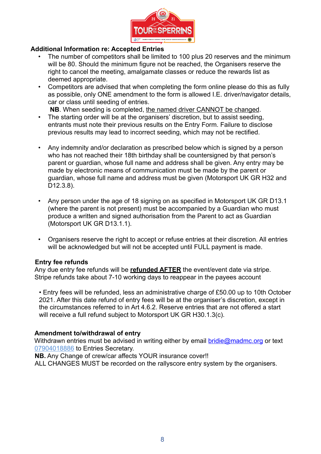

## **Additional Information re: Accepted Entries**

- The number of competitors shall be limited to 100 plus 20 reserves and the minimum will be 80. Should the minimum figure not be reached, the Organisers reserve the right to cancel the meeting, amalgamate classes or reduce the rewards list as deemed appropriate.
- Competitors are advised that when completing the form online please do this as fully as possible, only ONE amendment to the form is allowed I.E. driver/navigator details, car or class until seeding of entries.

**NB**. When seeding is completed, the named driver CANNOT be changed.

- The starting order will be at the organisers' discretion, but to assist seeding, entrants must note their previous results on the Entry Form. Failure to disclose previous results may lead to incorrect seeding, which may not be rectified.
- Any indemnity and/or declaration as prescribed below which is signed by a person who has not reached their 18th birthday shall be countersigned by that person's parent or guardian, whose full name and address shall be given. Any entry may be made by electronic means of communication must be made by the parent or guardian, whose full name and address must be given (Motorsport UK GR H32 and D12.3.8).
- Any person under the age of 18 signing on as specified in Motorsport UK GR D13.1 (where the parent is not present) must be accompanied by a Guardian who must produce a written and signed authorisation from the Parent to act as Guardian (Motorsport UK GR D13.1.1).
- Organisers reserve the right to accept or refuse entries at their discretion. All entries will be acknowledged but will not be accepted until FULL payment is made.

### **Entry fee refunds**

Any due entry fee refunds will be **refunded AFTER** the event/event date via stripe. Stripe refunds take about 7-10 working days to reappear in the payees account

• Entry fees will be refunded, less an administrative charge of £50.00 up to 10th October 2021. After this date refund of entry fees will be at the organiser's discretion, except in the circumstances referred to in Art 4.6.2. Reserve entries that are not offered a start will receive a full refund subject to Motorsport UK GR H30.1.3(c).

### **Amendment to/withdrawal of entry**

Withdrawn entries must be advised in writing either by email [bridie@madmc.org](mailto:bridie@madmc.org) or text 07904018886 to Entries Secretary.

**NB.** Any Change of crew/car affects YOUR insurance cover!!

ALL CHANGES MUST be recorded on the rallyscore entry system by the organisers.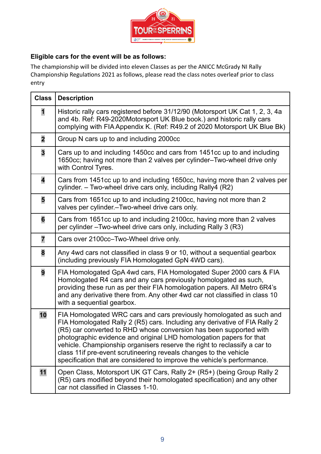

## **Eligible cars for the event will be as follows:**

The championship will be divided into eleven Classes as per the ANICC McGrady NI Rally Championship Regulations 2021 as follows, please read the class notes overleaf prior to class entry

| <b>Class</b>            | <b>Description</b>                                                                                                                                                                                                                                                                                                                                                                                                                                                                                                            |
|-------------------------|-------------------------------------------------------------------------------------------------------------------------------------------------------------------------------------------------------------------------------------------------------------------------------------------------------------------------------------------------------------------------------------------------------------------------------------------------------------------------------------------------------------------------------|
| 1                       | Historic rally cars registered before 31/12/90 (Motorsport UK Cat 1, 2, 3, 4a<br>and 4b. Ref: R49-2020Motorsport UK Blue book.) and historic rally cars<br>complying with FIA Appendix K. (Ref: R49.2 of 2020 Motorsport UK Blue Bk)                                                                                                                                                                                                                                                                                          |
| $\overline{\mathbf{2}}$ | Group N cars up to and including 2000cc                                                                                                                                                                                                                                                                                                                                                                                                                                                                                       |
| 3                       | Cars up to and including 1450cc and cars from 1451cc up to and including<br>1650cc; having not more than 2 valves per cylinder-Two-wheel drive only<br>with Control Tyres.                                                                                                                                                                                                                                                                                                                                                    |
| $\overline{\mathbf{4}}$ | Cars from 1451cc up to and including 1650cc, having more than 2 valves per<br>cylinder. - Two-wheel drive cars only, including Rally4 (R2)                                                                                                                                                                                                                                                                                                                                                                                    |
| 5                       | Cars from 1651cc up to and including 2100cc, having not more than 2<br>valves per cylinder.-Two-wheel drive cars only.                                                                                                                                                                                                                                                                                                                                                                                                        |
| 6                       | Cars from 1651cc up to and including 2100cc, having more than 2 valves<br>per cylinder - Two-wheel drive cars only, including Rally 3 (R3)                                                                                                                                                                                                                                                                                                                                                                                    |
| $\overline{7}$          | Cars over 2100cc–Two-Wheel drive only.                                                                                                                                                                                                                                                                                                                                                                                                                                                                                        |
| 8                       | Any 4wd cars not classified in class 9 or 10, without a sequential gearbox<br>(including previously FIA Homologated GpN 4WD cars).                                                                                                                                                                                                                                                                                                                                                                                            |
| 9                       | FIA Homologated GpA 4wd cars, FIA Homologated Super 2000 cars & FIA<br>Homologated R4 cars and any cars previously homologated as such,<br>providing these run as per their FIA homologation papers. All Metro 6R4's<br>and any derivative there from. Any other 4wd car not classified in class 10<br>with a sequential gearbox.                                                                                                                                                                                             |
| 10                      | FIA Homologated WRC cars and cars previously homologated as such and<br>FIA Homologated Rally 2 (R5) cars. Including any derivative of FIA Rally 2<br>(R5) car converted to RHD whose conversion has been supported with<br>photographic evidence and original LHD homologation papers for that<br>vehicle. Championship organisers reserve the right to reclassify a car to<br>class 11 if pre-event scrutineering reveals changes to the vehicle<br>specification that are considered to improve the vehicle's performance. |
| 11                      | Open Class, Motorsport UK GT Cars, Rally 2+ (R5+) (being Group Rally 2<br>(R5) cars modified beyond their homologated specification) and any other<br>car not classified in Classes 1-10.                                                                                                                                                                                                                                                                                                                                     |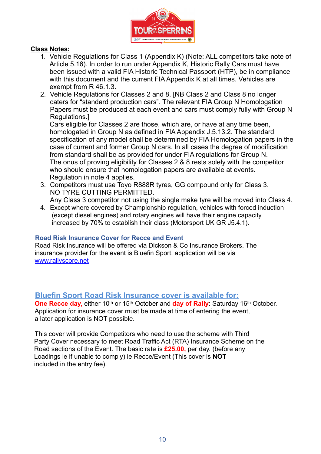

## **Class Notes:**

- 1. Vehicle Regulations for Class 1 (Appendix K) (Note: ALL competitors take note of Article 5.16). In order to run under Appendix K, Historic Rally Cars must have been issued with a valid FIA Historic Technical Passport (HTP), be in compliance with this document and the current FIA Appendix K at all times. Vehicles are exempt from R 46.1.3.
- 2. Vehicle Regulations for Classes 2 and 8. [NB Class 2 and Class 8 no longer caters for "standard production cars". The relevant FIA Group N Homologation Papers must be produced at each event and cars must comply fully with Group N Regulations.]

Cars eligible for Classes 2 are those, which are, or have at any time been, homologated in Group N as defined in FIA Appendix J.5.13.2. The standard specification of any model shall be determined by FIA Homologation papers in the case of current and former Group N cars. In all cases the degree of modification from standard shall be as provided for under FIA regulations for Group N. The onus of proving eligibility for Classes 2 & 8 rests solely with the competitor who should ensure that homologation papers are available at events. Regulation in note 4 applies.

3. Competitors must use Toyo R888R tyres, GG compound only for Class 3. NO TYRE CUTTING PERMITTED.

Any Class 3 competitor not using the single make tyre will be moved into Class 4.

4. Except where covered by Championship regulation, vehicles with forced induction (except diesel engines) and rotary engines will have their engine capacity increased by 70% to establish their class (Motorsport UK GR J5.4.1).

### **Road Risk Insurance Cover for Recce and Event**

Road Risk Insurance will be offered via Dickson & Co Insurance Brokers. The insurance provider for the event is Bluefin Sport, application will be via [www.rallyscore.net](http://www.rallyscore.net)

## **Bluefin Sport Road Risk Insurance cover is available for:**

**One Recce day,** either 10<sup>th</sup> or 15<sup>th</sup> October and **day of Rally**: Saturday 16<sup>th</sup> October. Application for insurance cover must be made at time of entering the event, a later application is NOT possible.

This cover will provide Competitors who need to use the scheme with Third Party Cover necessary to meet Road Traffic Act (RTA) Insurance Scheme on the Road sections of the Event. The basic rate is **£25.00,** per day. (before any Loadings ie if unable to comply) ie Recce/Event (This cover is **NOT** included in the entry fee).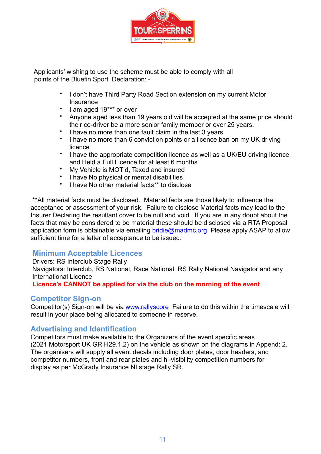

 Applicants' wishing to use the scheme must be able to comply with all points of the Bluefin Sport Declaration: -

- I don't have Third Party Road Section extension on my current Motor **Insurance**
- I am aged 19\*\*\* or over
- Anyone aged less than 19 years old will be accepted at the same price should their co-driver be a more senior family member or over 25 years.
- I have no more than one fault claim in the last 3 years
- I have no more than 6 conviction points or a licence ban on my UK driving licence
- I have the appropriate competition licence as well as a UK/EU driving licence and Held a Full Licence for at least 6 months
- My Vehicle is MOT'd, Taxed and insured
- I have No physical or mental disabilities
- I have No other material facts\*\* to disclose

 \*\*All material facts must be disclosed. Material facts are those likely to influence the acceptance or assessment of your risk. Failure to disclose Material facts may lead to the Insurer Declaring the resultant cover to be null and void. If you are in any doubt about the facts that may be considered to be material these should be disclosed via a RTA Proposal application form is obtainable via emailing [bridie@madmc.org](mailto:bridie@madmc.org) Please apply ASAP to allow sufficient time for a letter of acceptance to be issued.

## **Minimum Acceptable Licences**

 Drivers: RS Interclub Stage Rally Navigators: Interclub, RS National, Race National, RS Rally National Navigator and any International Licence  **Licence's CANNOT be applied for via the club on the morning of the event**

## **Competitor Sign-on**

Competitor(s) Sign-on will be via [www.rallyscore](http://www.rallyscore) Failure to do this within the timescale will result in your place being allocated to someone in reserve.

## **Advertising and Identification**

Competitors must make available to the Organizers of the event specific areas (2021 Motorsport UK GR H29.1.2) on the vehicle as shown on the diagrams in Append: 2. The organisers will supply all event decals including door plates, door headers, and competitor numbers, front and rear plates and hi-visibility competition numbers for display as per McGrady Insurance NI stage Rally SR.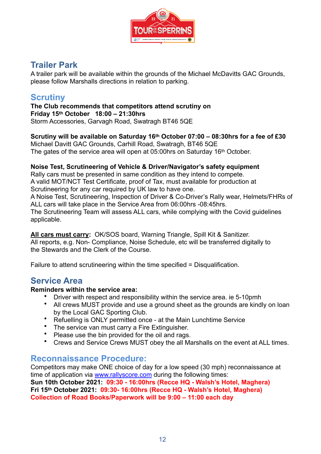

# **Trailer Park**

A trailer park will be available within the grounds of the Michael McDavitts GAC Grounds, please follow Marshalls directions in relation to parking.

## **Scrutiny**

**The Club recommends that competitors attend scrutiny on Friday 15th October 18:00 – 21:30hrs**  Storm Accessories, Garvagh Road, Swatragh BT46 5QE

**Scrutiny will be available on Saturday 16th October 07:00 – 08:30hrs for a fee of £30** Michael Davitt GAC Grounds, Carhill Road, Swatragh, BT46 5QE The gates of the service area will open at 05:00hrs on Saturday 16<sup>th</sup> October.

## **Noise Test, Scrutineering of Vehicle & Driver/Navigator's safety equipment**

Rally cars must be presented in same condition as they intend to compete. A valid MOT/NCT Test Certificate, proof of Tax, must available for production at Scrutineering for any car required by UK law to have one.

A Noise Test, Scrutineering, Inspection of Driver & Co-Driver's Rally wear, Helmets/FHRs of ALL cars will take place in the Service Area from 06:00hrs -08:45hrs.

The Scrutineering Team will assess ALL cars, while complying with the Covid guidelines applicable.

**All cars must carry:** OK/SOS board, Warning Triangle, Spill Kit & Sanitizer. All reports, e.g. Non- Compliance, Noise Schedule, etc will be transferred digitally to the Stewards and the Clerk of the Course.

Failure to attend scrutineering within the time specified = Disqualification.

# **Service Area**

### **Reminders within the service area:**

- Driver with respect and responsibility within the service area. ie 5-10pmh
- All crews MUST provide and use a ground sheet as the grounds are kindly on loan by the Local GAC Sporting Club.
- Refuelling is ONLY permitted once at the Main Lunchtime Service
- The service van must carry a Fire Extinguisher.
- Please use the bin provided for the oil and rags.
- Crews and Service Crews MUST obey the all Marshalls on the event at ALL times.

## **Reconnaissance Procedure:**

Competitors may make ONE choice of day for a low speed (30 mph) reconnaissance at time of application via [www.rallyscore.com](http://www.rallyscore.com) during the following times: **Sun 10th October 2021: 09:30 - 16:00hrs (Recce HQ - Walsh's Hotel, Maghera) Fri 15th October 2021: 09:30- 16:00hrs (Recce HQ - Walsh's Hotel, Maghera) Collection of Road Books/Paperwork will be 9:00 – 11:00 each day**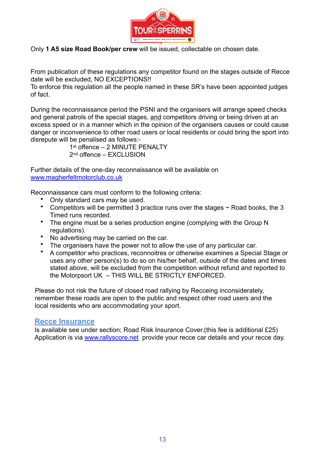

Only **1 A5 size Road Book/per crew** will be issued, collectable on chosen date.

From publication of these regulations any competitor found on the stages outside of Recce date will be excluded, NO EXCEPTIONS!!

To enforce this regulation all the people named in these SR's have been appointed judges of fact.

During the reconnaissance period the PSNI and the organisers will arrange speed checks and general patrols of the special stages, and competitors driving or being driven at an excess speed or in a manner which in the opinion of the organisers causes or could cause danger or inconvenience to other road users or local residents or could bring the sport into disrepute will be penalised as follows:-

> 1st offence - 2 MINUTE PENALTY 2<sup>nd</sup> offence – FXCLUSION

Further details of the one-day reconnaissance will be available on [www.magherfeltmotorclub.co.uk](http://www.magherfeltmotorclub.co.uk)

Reconnaissance cars must conform to the following criteria:

- Only standard cars may be used.
- Competitors will be permitted 3 practice runs over the stages ~ Road books, the 3 Timed runs recorded.
- The engine must be a series production engine (complying with the Group N regulations).
- No advertising may be carried on the car.
- The organisers have the power not to allow the use of any particular car.
- A competitor who practices, reconnoitres or otherwise examines a Special Stage or uses any other person(s) to do so on his/her behalf, outside of the dates and times stated above, will be excluded from the competition without refund and reported to the Motorpsort UK – THIS WILL BE STRICTLY ENFORCED.

Please do not risk the future of closed road rallying by Recceing inconsiderately, remember these roads are open to the public and respect other road users and the local residents who are accommodating your sport.

## **Recce Insurance**

Is available see under section; Road Risk Insurance Cover.(this fee is additional £25) Application is via [www.rallyscore.net](http://www.rallyscore.net) provide your recce car details and your recce day.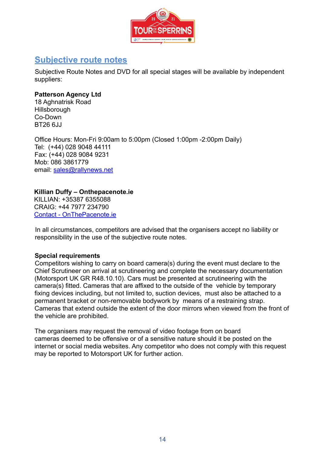

# **Subjective route notes**

Subjective Route Notes and DVD for all special stages will be available by independent suppliers:

## **Patterson Agency Ltd**

18 Aghnatrisk Road **Hillsborough** Co-Down BT26 6JJ

Office Hours: Mon-Fri 9:00am to 5:00pm (Closed 1:00pm -2:00pm Daily) Tel: (+44) 028 9048 44111 Fax: (+44) 028 9084 9231 Mob: 086 3861779 email: [sales@rallynews.net](mailto:sales@rallynews.net)

## **Killian Duffy – Onthepacenote.ie**

 KILLIAN: +35387 6355088 CRAIG: +44 7977 234790 [Contact - OnThePacenote.ie](https://onthepacenote.ie/contact/)

In all circumstances, competitors are advised that the organisers accept no liability or responsibility in the use of the subjective route notes.

### **Special requirements**

Competitors wishing to carry on board camera(s) during the event must declare to the Chief Scrutineer on arrival at scrutineering and complete the necessary documentation (Motorsport UK GR R48.10.10). Cars must be presented at scrutineering with the camera(s) fitted. Cameras that are affixed to the outside of the vehicle by temporary fixing devices including, but not limited to, suction devices, must also be attached to a permanent bracket or non-removable bodywork by means of a restraining strap. Cameras that extend outside the extent of the door mirrors when viewed from the front of the vehicle are prohibited.

The organisers may request the removal of video footage from on board cameras deemed to be offensive or of a sensitive nature should it be posted on the internet or social media websites. Any competitor who does not comply with this request may be reported to Motorsport UK for further action.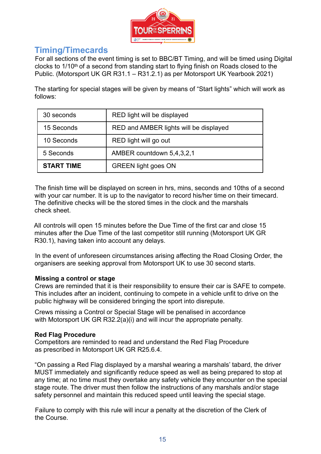

## **Timing/Timecards**

For all sections of the event timing is set to BBC/BT Timing, and will be timed using Digital clocks to 1/10th of a second from standing start to flying finish on Roads closed to the Public. (Motorsport UK GR R31.1 – R31.2.1) as per Motorsport UK Yearbook 2021)

The starting for special stages will be given by means of "Start lights" which will work as follows:

| 30 seconds        | RED light will be displayed            |
|-------------------|----------------------------------------|
| 15 Seconds        | RED and AMBER lights will be displayed |
| 10 Seconds        | RED light will go out                  |
| 5 Seconds         | AMBER countdown 5,4,3,2,1              |
| <b>START TIME</b> | <b>GREEN</b> light goes ON             |

The finish time will be displayed on screen in hrs, mins, seconds and 10ths of a second with your car number. It is up to the navigator to record his/her time on their timecard. The definitive checks will be the stored times in the clock and the marshals check sheet.

All controls will open 15 minutes before the Due Time of the first car and close 15 minutes after the Due Time of the last competitor still running (Motorsport UK GR R30.1), having taken into account any delays.

In the event of unforeseen circumstances arising affecting the Road Closing Order, the organisers are seeking approval from Motorsport UK to use 30 second starts.

## **Missing a control or stage**

Crews are reminded that it is their responsibility to ensure their car is SAFE to compete. This includes after an incident, continuing to compete in a vehicle unfit to drive on the public highway will be considered bringing the sport into disrepute.

Crews missing a Control or Special Stage will be penalised in accordance with Motorsport UK GR R32.2(a)(i) and will incur the appropriate penalty.

## **Red Flag Procedure**

Competitors are reminded to read and understand the Red Flag Procedure as prescribed in Motorsport UK GR R25.6.4.

"On passing a Red Flag displayed by a marshal wearing a marshals' tabard, the driver MUST immediately and significantly reduce speed as well as being prepared to stop at any time; at no time must they overtake any safety vehicle they encounter on the special stage route. The driver must then follow the instructions of any marshals and/or stage safety personnel and maintain this reduced speed until leaving the special stage.

Failure to comply with this rule will incur a penalty at the discretion of the Clerk of the Course.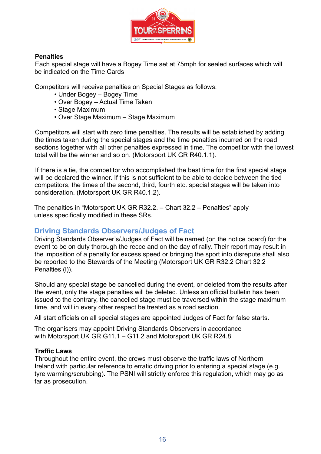

## **Penalties**

Each special stage will have a Bogey Time set at 75mph for sealed surfaces which will be indicated on the Time Cards

Competitors will receive penalties on Special Stages as follows:

- Under Bogey Bogey Time
- Over Bogey Actual Time Taken
- Stage Maximum
- Over Stage Maximum Stage Maximum

Competitors will start with zero time penalties. The results will be established by adding the times taken during the special stages and the time penalties incurred on the road sections together with all other penalties expressed in time. The competitor with the lowest total will be the winner and so on. (Motorsport UK GR R40.1.1).

If there is a tie, the competitor who accomplished the best time for the first special stage will be declared the winner. If this is not sufficient to be able to decide between the tied competitors, the times of the second, third, fourth etc. special stages will be taken into consideration. (Motorsport UK GR R40.1.2).

The penalties in "Motorsport UK GR R32.2. – Chart 32.2 – Penalties" apply unless specifically modified in these SRs.

## **Driving Standards Observers/Judges of Fact**

Driving Standards Observer's/Judges of Fact will be named (on the notice board) for the event to be on duty thorough the recce and on the day of rally. Their report may result in the imposition of a penalty for excess speed or bringing the sport into disrepute shall also be reported to the Stewards of the Meeting (Motorsport UK GR R32.2 Chart 32.2 Penalties (l)).

Should any special stage be cancelled during the event, or deleted from the results after the event, only the stage penalties will be deleted. Unless an official bulletin has been issued to the contrary, the cancelled stage must be traversed within the stage maximum time, and will in every other respect be treated as a road section.

All start officials on all special stages are appointed Judges of Fact for false starts.

The organisers may appoint Driving Standards Observers in accordance with Motorsport UK GR G11.1 – G11.2 and Motorsport UK GR R24.8

## **Traffic Laws**

Throughout the entire event, the crews must observe the traffic laws of Northern Ireland with particular reference to erratic driving prior to entering a special stage (e.g. tyre warming/scrubbing). The PSNI will strictly enforce this regulation, which may go as far as prosecution.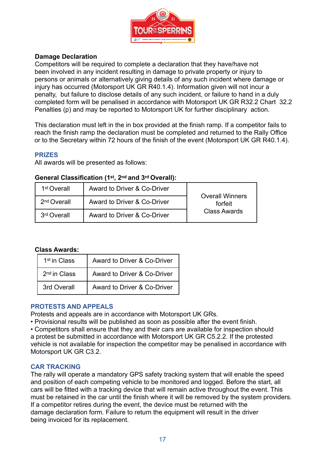

## **Damage Declaration**

Competitors will be required to complete a declaration that they have/have not been involved in any incident resulting in damage to private property or injury to persons or animals or alternatively giving details of any such incident where damage or injury has occurred (Motorsport UK GR R40.1.4). Information given will not incur a penalty, but failure to disclose details of any such incident, or failure to hand in a duly completed form will be penalised in accordance with Motorsport UK GR R32.2 Chart 32.2 Penalties (p) and may be reported to Motorsport UK for further disciplinary action.

This declaration must left in the in box provided at the finish ramp. If a competitor fails to reach the finish ramp the declaration must be completed and returned to the Rally Office or to the Secretary within 72 hours of the finish of the event (Motorsport UK GR R40.1.4).

### **PRIZES**

All awards will be presented as follows:

### **General Classification (1st, 2nd and 3rd Overall):**

| 1 <sup>st</sup> Overall | Award to Driver & Co-Driver |                                   |
|-------------------------|-----------------------------|-----------------------------------|
| 2 <sup>nd</sup> Overall | Award to Driver & Co-Driver | <b>Overall Winners</b><br>forfeit |
| 3rd Overall             | Award to Driver & Co-Driver | <b>Class Awards</b>               |

### **Class Awards:**

| 1 <sup>st</sup> in Class | Award to Driver & Co-Driver |
|--------------------------|-----------------------------|
| 2 <sup>nd</sup> in Class | Award to Driver & Co-Driver |
| 3rd Overall              | Award to Driver & Co-Driver |

### **PROTESTS AND APPEALS**

Protests and appeals are in accordance with Motorsport UK GRs.

• Provisional results will be published as soon as possible after the event finish.

• Competitors shall ensure that they and their cars are available for inspection should a protest be submitted in accordance with Motorsport UK GR C5.2.2. If the protested vehicle is not available for inspection the competitor may be penalised in accordance with Motorsport UK GR C3.2.

### **CAR TRACKING**

The rally will operate a mandatory GPS safety tracking system that will enable the speed and position of each competing vehicle to be monitored and logged. Before the start, all cars will be fitted with a tracking device that will remain active throughout the event. This must be retained in the car until the finish where it will be removed by the system providers. If a competitor retires during the event, the device must be returned with the damage declaration form. Failure to return the equipment will result in the driver being invoiced for its replacement.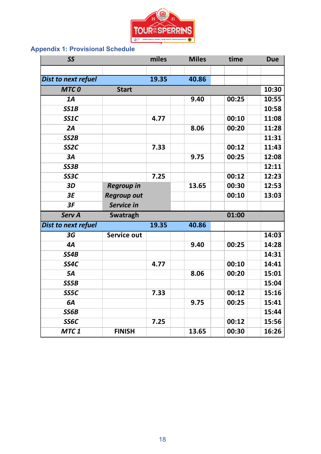

# **Appendix 1: Provisional Schedule**

| <b>SS</b>           |                    | miles | <b>Miles</b> | time  | <b>Due</b> |
|---------------------|--------------------|-------|--------------|-------|------------|
|                     |                    |       |              |       |            |
| Dist to next refuel |                    | 19.35 | 40.86        |       |            |
| <b>MTCO</b>         | <b>Start</b>       |       |              |       | 10:30      |
| $\overline{1A}$     |                    |       | 9.40         | 00:25 | 10:55      |
| SS1B                |                    |       |              |       | 10:58      |
| SS1C                |                    | 4.77  |              | 00:10 | 11:08      |
| 2A                  |                    |       | 8.06         | 00:20 | 11:28      |
| SS2B                |                    |       |              |       | 11:31      |
| SS <sub>2C</sub>    |                    | 7.33  |              | 00:12 | 11:43      |
| 3A                  |                    |       | 9.75         | 00:25 | 12:08      |
| SS3B                |                    |       |              |       | 12:11      |
| SS3C                |                    | 7.25  |              | 00:12 | 12:23      |
| 3D                  | <b>Regroup in</b>  |       | 13.65        | 00:30 | 12:53      |
| 3E                  | <b>Regroup out</b> |       |              | 00:10 | 13:03      |
| 3F                  | Service in         |       |              |       |            |
| <b>Serv A</b>       | Swatragh           |       |              | 01:00 |            |
| Dist to next refuel |                    | 19.35 | 40.86        |       |            |
| 3G                  | Service out        |       |              |       | 14:03      |
| 4A                  |                    |       | 9.40         | 00:25 | 14:28      |
| SS4B                |                    |       |              |       | 14:31      |
| SS4C                |                    | 4.77  |              | 00:10 | 14:41      |
| 5A                  |                    |       | 8.06         | 00:20 | 15:01      |
| SS5B                |                    |       |              |       | 15:04      |
| SS5C                |                    | 7.33  |              | 00:12 | 15:16      |
| 6A                  |                    |       | 9.75         | 00:25 | 15:41      |
| SS6B                |                    |       |              |       | 15:44      |
| SS6C                |                    | 7.25  |              | 00:12 | 15:56      |
|                     |                    |       |              |       |            |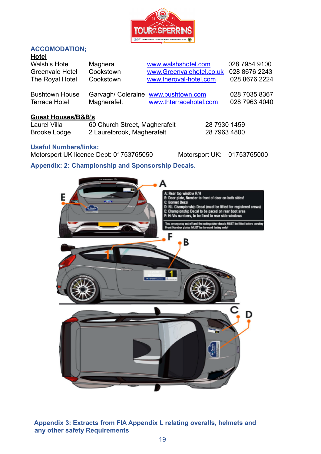

## **ACCOMODATION;**

|--|

| <br><b>Walsh's Hotel</b><br>Greenvale Hotel<br>The Royal Hotel | Maghera<br>Cookstown<br>Cookstown | www.walshshotel.com<br>www.Greenvalehotel.co.uk<br>www.theroyal-hotel.com | 028 7954 9100<br>028 8676 2243<br>028 8676 2224 |
|----------------------------------------------------------------|-----------------------------------|---------------------------------------------------------------------------|-------------------------------------------------|
| <b>Bushtown House</b>                                          | Magherafelt                       | Garvagh/ Coleraine www.bushtown.com                                       | 028 7035 8367                                   |
| <b>Terrace Hotel</b>                                           |                                   | www.thterracehotel.com                                                    | 028 7963 4040                                   |

#### **Guest Houses/B&B's**

Laurel Villa 60 Church Street, Magherafelt 28 7930 1459 Brooke Lodge 2 Laurelbrook, Magherafelt 28 7963 4800

#### **Useful Numbers/links:**

Motorsport UK licence Dept: 01753765050 Motorsport UK: 01753765000

## **Appendix: 2: Championship and Sponsorship Decals.**



**Appendix 3: Extracts from FIA Appendix L relating overalls, helmets and any other safety Requirements**